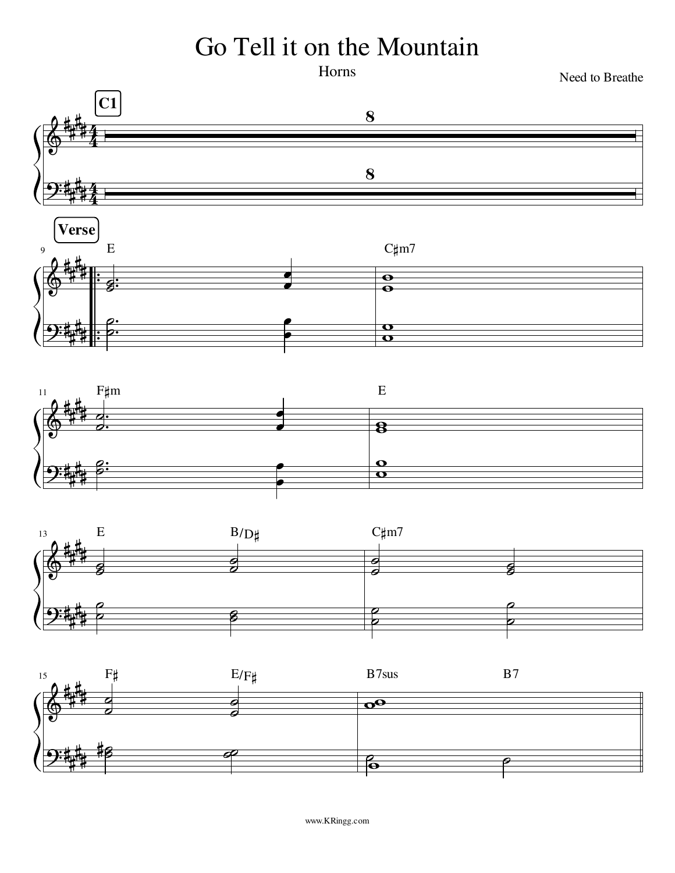## Go Tell it on the Mountain

Horns

Need to Breathe